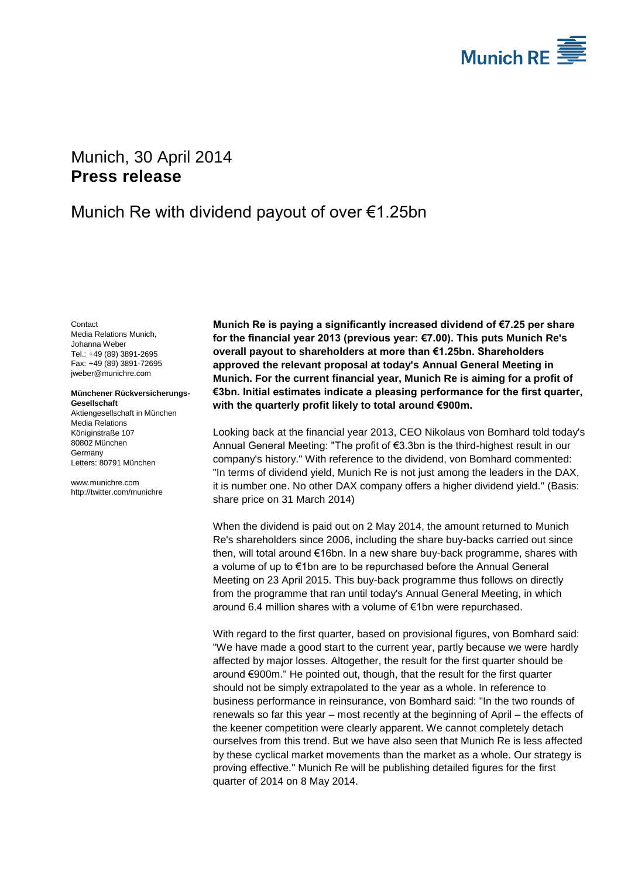

# <span id="page-0-2"></span>Munich, 30 April 2014 **Press release**

## Munich Re with dividend payout of over €1.25bn

<span id="page-0-1"></span><span id="page-0-0"></span>**Contact** Media Relations Munich, Johanna Weber Tel.: +49 (89) 3891-2695 Fax: +49 (89) 3891-72695 jweber@munichre.com

**Münchener Rückversicherungs-Gesellschaft** Aktiengesellschaft in München

Media Relations Königinstraße 107 80802 München **Germany** Letters: 80791 München

www.munichre.com http://twitter.com/munichre

**Munich Re is paying a significantly increased dividend of €7.25 per share for the financial year 2013 (previous year: €7.00). This puts Munich Re's overall payout to shareholders at more than €1.25bn. Shareholders approved the relevant proposal at today's Annual General Meeting in Munich. For the current financial year, Munich Re is aiming for a profit of €3bn. Initial estimates indicate a pleasing performance for the first quarter, with the quarterly profit likely to total around €900m.**

Looking back at the financial year 2013, CEO Nikolaus von Bomhard told today's Annual General Meeting: "The profit of €3.3bn is the third-highest result in our company's history." With reference to the dividend, von Bomhard commented: "In terms of dividend yield, Munich Re is not just among the leaders in the DAX, it is number one. No other DAX company offers a higher dividend yield." (Basis: share price on 31 March 2014)

When the dividend is paid out on 2 May 2014, the amount returned to Munich Re's shareholders since 2006, including the share buy-backs carried out since then, will total around €16bn. In a new share buy-back programme, shares with a volume of up to €1bn are to be repurchased before the Annual General Meeting on 23 April 2015. This buy-back programme thus follows on directly from the programme that ran until today's Annual General Meeting, in which around 6.4 million shares with a volume of €1bn were repurchased.

With regard to the first quarter, based on provisional figures, von Bomhard said: "We have made a good start to the current year, partly because we were hardly affected by major losses. Altogether, the result for the first quarter should be around €900m." He pointed out, though, that the result for the first quarter should not be simply extrapolated to the year as a whole. In reference to business performance in reinsurance, von Bomhard said: "In the two rounds of renewals so far this year – most recently at the beginning of April – the effects of the keener competition were clearly apparent. We cannot completely detach ourselves from this trend. But we have also seen that Munich Re is less affected by these cyclical market movements than the market as a whole. Our strategy is proving effective." Munich Re will be publishing detailed figures for the first quarter of 2014 on 8 May 2014.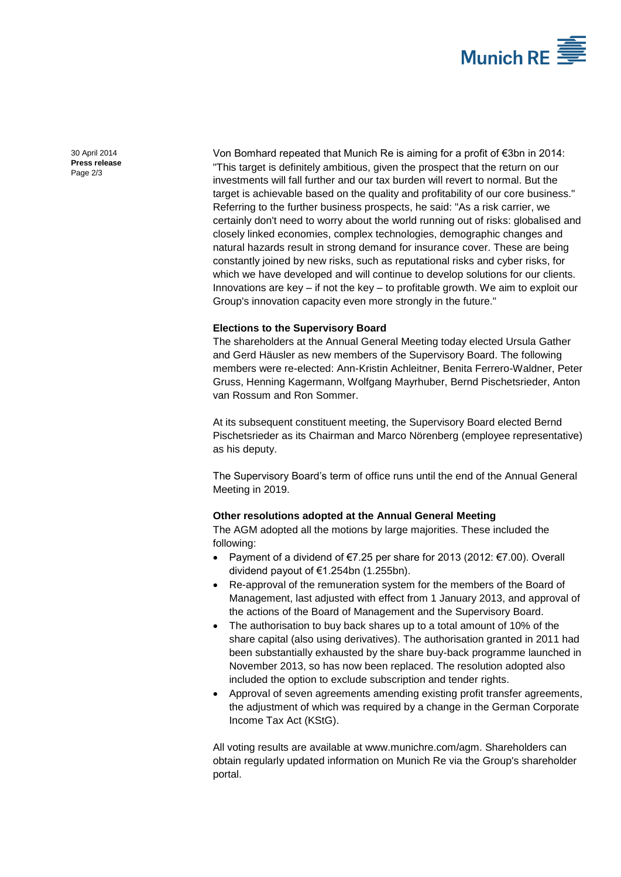

30 April 2014 **Press release** Page 2/3

Von Bomhard repeated that Munich Re is aiming for a profit of €3bn in 2014: "This target is definitely ambitious, given the prospect that the return on our investments will fall further and our tax burden will revert to normal. But the target is achievable based on the quality and profitability of our core business." Referring to the further business prospects, he said: "As a risk carrier, we certainly don't need to worry about the world running out of risks: globalised and closely linked economies, complex technologies, demographic changes and natural hazards result in strong demand for insurance cover. These are being constantly joined by new risks, such as reputational risks and cyber risks, for which we have developed and will continue to develop solutions for our clients. Innovations are key – if not the key – to profitable growth. We aim to exploit our Group's innovation capacity even more strongly in the future."

## **Elections to the Supervisory Board**

The shareholders at the Annual General Meeting today elected Ursula Gather and Gerd Häusler as new members of the Supervisory Board. The following members were re-elected: Ann-Kristin Achleitner, Benita Ferrero-Waldner, Peter Gruss, Henning Kagermann, Wolfgang Mayrhuber, Bernd Pischetsrieder, Anton van Rossum and Ron Sommer.

At its subsequent constituent meeting, the Supervisory Board elected Bernd Pischetsrieder as its Chairman and Marco Nörenberg (employee representative) as his deputy.

The Supervisory Board's term of office runs until the end of the Annual General Meeting in 2019.

### **Other resolutions adopted at the Annual General Meeting**

The AGM adopted all the motions by large majorities. These included the following:

- Payment of a dividend of €7.25 per share for 2013 (2012: €7.00). Overall dividend payout of €1.254bn (1.255bn).
- Re-approval of the remuneration system for the members of the Board of Management, last adjusted with effect from 1 January 2013, and approval of the actions of the Board of Management and the Supervisory Board.
- The authorisation to buy back shares up to a total amount of 10% of the share capital (also using derivatives). The authorisation granted in 2011 had been substantially exhausted by the share buy-back programme launched in November 2013, so has now been replaced. The resolution adopted also included the option to exclude subscription and tender rights.
- Approval of seven agreements amending existing profit transfer agreements, the adjustment of which was required by a change in the German Corporate Income Tax Act (KStG).

All voting results are available at www.munichre.com/agm. Shareholders can obtain regularly updated information on Munich Re via the Group's shareholder portal.